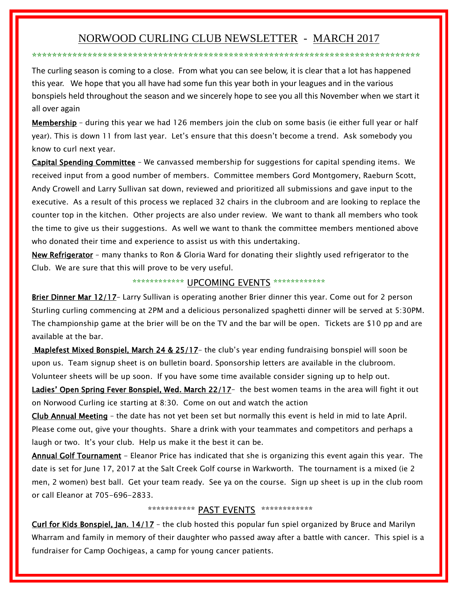# NORWOOD CURLING CLUB NEWSLETTER - MARCH 2017

\*\*\*\*\*\*\*\*\*\*\*\*\*\*\*\*\*\*\*\*\*\*\*\*\*\*\*\*\*\*\*\*\*\*\*\*\*\*\*\*\*\*\*\*\*\*\*\*\*\*\*\*\*\*\*\*\*\*\*\*\*\*\*\*\*\*\*\*\*\*\*\*\*\*\*\*\*

The curling season is coming to a close. From what you can see below, it is clear that a lot has happened this year. We hope that you all have had some fun this year both in your leagues and in the various bonspiels held throughout the season and we sincerely hope to see you all this November when we start it all over again

Membership - during this year we had 126 members join the club on some basis (ie either full year or half year). This is down 11 from last year. Let's ensure that this doesn't become a trend. Ask somebody you know to curl next year.

Capital Spending Committee – We canvassed membership for suggestions for capital spending items. We received input from a good number of members. Committee members Gord Montgomery, Raeburn Scott, Andy Crowell and Larry Sullivan sat down, reviewed and prioritized all submissions and gave input to the executive. As a result of this process we replaced 32 chairs in the clubroom and are looking to replace the counter top in the kitchen. Other projects are also under review. We want to thank all members who took the time to give us their suggestions. As well we want to thank the committee members mentioned above who donated their time and experience to assist us with this undertaking.

New Refrigerator – many thanks to Ron & Gloria Ward for donating their slightly used refrigerator to the Club. We are sure that this will prove to be very useful.

## \*\*\*\*\*\*\*\*\*\*\*\*\* UPCOMING EVENTS \*\*\*\*\*\*\*\*\*\*\*\*\*

Brier Dinner Mar 12/17- Larry Sullivan is operating another Brier dinner this year. Come out for 2 person Sturling curling commencing at 2PM and a delicious personalized spaghetti dinner will be served at 5:30PM. The championship game at the brier will be on the TV and the bar will be open. Tickets are \$10 pp and are available at the bar.

Maplefest Mixed Bonspiel, March 24 & 25/17- the club's year ending fundraising bonspiel will soon be upon us. Team signup sheet is on bulletin board. Sponsorship letters are available in the clubroom. Volunteer sheets will be up soon. If you have some time available consider signing up to help out.

Ladies' Open Spring Fever Bonspiel, Wed. March 22/17- the best women teams in the area will fight it out on Norwood Curling ice starting at 8:30. Come on out and watch the action

Club Annual Meeting – the date has not yet been set but normally this event is held in mid to late April. Please come out, give your thoughts. Share a drink with your teammates and competitors and perhaps a laugh or two. It's your club. Help us make it the best it can be.

Annual Golf Tournament - Eleanor Price has indicated that she is organizing this event again this year. The date is set for June 17, 2017 at the Salt Creek Golf course in Warkworth. The tournament is a mixed (ie 2 men, 2 women) best ball. Get your team ready. See ya on the course. Sign up sheet is up in the club room or call Eleanor at 705-696-2833.

## \*\*\*\*\*\*\*\*\*\*\*\* PAST EVENTS \*\*\*\*\*\*\*\*\*\*\*\*\*

Curl for Kids Bonspiel, Jan. 14/17 - the club hosted this popular fun spiel organized by Bruce and Marilyn Wharram and family in memory of their daughter who passed away after a battle with cancer. This spiel is a fundraiser for Camp Oochigeas, a camp for young cancer patients.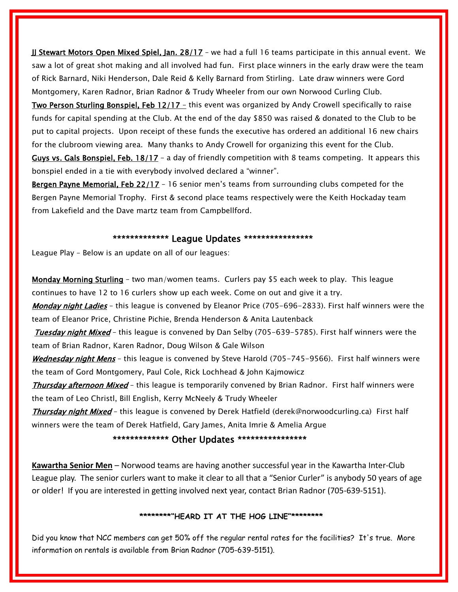**JJ Stewart Motors Open Mixed Spiel, Jan. 28/17** - we had a full 16 teams participate in this annual event. We saw a lot of great shot making and all involved had fun. First place winners in the early draw were the team of Rick Barnard, Niki Henderson, Dale Reid & Kelly Barnard from Stirling. Late draw winners were Gord Montgomery, Karen Radnor, Brian Radnor & Trudy Wheeler from our own Norwood Curling Club.

Two Person Sturling Bonspiel, Feb 12/17 – this event was organized by Andy Crowell specifically to raise funds for capital spending at the Club. At the end of the day \$850 was raised & donated to the Club to be put to capital projects. Upon receipt of these funds the executive has ordered an additional 16 new chairs for the clubroom viewing area. Many thanks to Andy Crowell for organizing this event for the Club.

Guys vs. Gals Bonspiel, Feb. 18/17 - a day of friendly competition with 8 teams competing. It appears this bonspiel ended in a tie with everybody involved declared a "winner".

Bergen Payne Memorial, Feb 22/17 - 16 senior men's teams from surrounding clubs competed for the Bergen Payne Memorial Trophy. First & second place teams respectively were the Keith Hockaday team from Lakefield and the Dave martz team from Campbellford.

#### \*\*\*\*\*\*\*\*\*\*\*\*\*\* League Updates \*\*\*\*\*\*\*\*\*\*\*\*\*\*\*\*

League Play – Below is an update on all of our leagues:

Monday Morning Sturling – two man/women teams. Curlers pay \$5 each week to play. This league continues to have 12 to 16 curlers show up each week. Come on out and give it a try.

Monday night Ladies - this league is convened by Eleanor Price (705-696-2833). First half winners were the team of Eleanor Price, Christine Pichie, Brenda Henderson & Anita Lautenback

Tuesday night Mixed - this league is convened by Dan Selby (705-639-5785). First half winners were the team of Brian Radnor, Karen Radnor, Doug Wilson & Gale Wilson

Wednesday night Mens - this league is convened by Steve Harold (705-745-9566). First half winners were the team of Gord Montgomery, Paul Cole, Rick Lochhead & John Kajmowicz

Thursday afternoon Mixed - this league is temporarily convened by Brian Radnor. First half winners were the team of Leo Christl, Bill English, Kerry McNeely & Trudy Wheeler

Thursday night Mixed – this league is convened by Derek Hatfield (derek@norwoodcurling.ca) First half winners were the team of Derek Hatfield, Gary James, Anita Imrie & Amelia Argue

### \*\*\*\*\*\*\*\*\*\*\*\*\*\* Other Updates \*\*\*\*\*\*\*\*\*\*\*\*\*\*\*\*

**Kawartha Senior Men** – Norwood teams are having another successful year in the Kawartha Inter-Club League play. The senior curlers want to make it clear to all that a "Senior Curler" is anybody 50 years of age or older! If you are interested in getting involved next year, contact Brian Radnor (705-639-5151).

#### **\*\*\*\*\*\*\*\*"HEARD IT AT THE HOG LINE"\*\*\*\*\*\*\*\***

Did you know that NCC members can get 50% off the regular rental rates for the facilities? It's true. More information on rentals is available from Brian Radnor (705-639-5151).